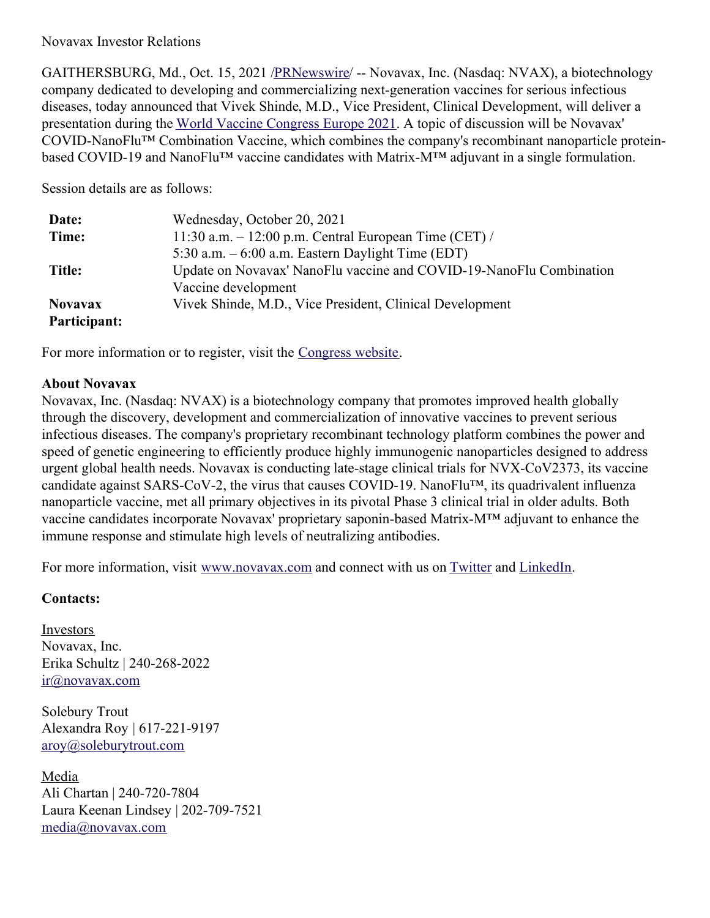## Novavax Investor Relations

GAITHERSBURG, Md., Oct. 15, 2021 [/PRNewswire](http://www.prnewswire.com/)/ -- Novavax, Inc. (Nasdaq: NVAX), a biotechnology company dedicated to developing and commercializing next-generation vaccines for serious infectious diseases, today announced that Vivek Shinde, M.D., Vice President, Clinical Development, will deliver a presentation during the World Vaccine [Congress](https://c212.net/c/link/?t=0&l=en&o=3325009-1&h=1394430246&u=https%3A%2F%2Fwww.terrapinn.com%2Fconference%2Fworld-vaccine-congress-europe%2Findex.stm&a=World+Vaccine+Congress+Europe+2021) Europe 2021. A topic of discussion will be Novavax' COVID-NanoFlu™ Combination Vaccine, which combines the company's recombinant nanoparticle proteinbased COVID-19 and NanoFlu™ vaccine candidates with Matrix-M™ adjuvant in a single formulation.

Session details are as follows:

| Date:          | Wednesday, October 20, 2021                                         |
|----------------|---------------------------------------------------------------------|
| Time:          | 11:30 a.m. $-$ 12:00 p.m. Central European Time (CET) /             |
|                | 5:30 a.m. $-6:00$ a.m. Eastern Daylight Time (EDT)                  |
| Title:         | Update on Novavax' NanoFlu vaccine and COVID-19-NanoFlu Combination |
|                | Vaccine development                                                 |
| <b>Novavax</b> | Vivek Shinde, M.D., Vice President, Clinical Development            |
| Participant:   |                                                                     |

For more information or to register, visit the [Congress](https://c212.net/c/link/?t=0&l=en&o=3325009-1&h=3461158481&u=https%3A%2F%2Fwww.terrapinn.com%2Fconference%2Fworld-vaccine-congress-europe%2Findex.stm&a=Congress+website) website.

## **About Novavax**

Novavax, Inc. (Nasdaq: NVAX) is a biotechnology company that promotes improved health globally through the discovery, development and commercialization of innovative vaccines to prevent serious infectious diseases. The company's proprietary recombinant technology platform combines the power and speed of genetic engineering to efficiently produce highly immunogenic nanoparticles designed to address urgent global health needs. Novavax is conducting late-stage clinical trials for NVX-CoV2373, its vaccine candidate against SARS-CoV-2, the virus that causes COVID-19. NanoFlu™, its quadrivalent influenza nanoparticle vaccine, met all primary objectives in its pivotal Phase 3 clinical trial in older adults. Both vaccine candidates incorporate Novavax' proprietary saponin-based Matrix-M™ adjuvant to enhance the immune response and stimulate high levels of neutralizing antibodies.

For more information, visit [www.novavax.com](https://c212.net/c/link/?t=0&l=en&o=3325009-1&h=2571408830&u=http%3A%2F%2Fwww.novavax.com%2F&a=www.novavax.com) and connect with us on [Twitter](https://c212.net/c/link/?t=0&l=en&o=3325009-1&h=2072522266&u=https%3A%2F%2Fc212.net%2Fc%2Flink%2F%3Ft%3D0%26l%3Den%26o%3D3158017-1%26h%3D500821283%26u%3Dhttps%253A%252F%252Ftwitter.com%252FNovavax%26a%3DTwitter&a=Twitter) and [LinkedIn](https://c212.net/c/link/?t=0&l=en&o=3325009-1&h=1813672409&u=https%3A%2F%2Fc212.net%2Fc%2Flink%2F%3Ft%3D0%26l%3Den%26o%3D3158017-1%26h%3D3702938248%26u%3Dhttps%253A%252F%252Fwww.linkedin.com%252Fcompany%252Fnovavax%252F%26a%3DLinkedIn&a=LinkedIn).

## **Contacts:**

Investors Novavax, Inc. Erika Schultz | 240-268-2022 [ir@novavax.com](mailto:ir@novavax.com)

Solebury Trout Alexandra Roy | 617-221-9197 [aroy@soleburytrout.com](mailto:aroy@soleburytrout.com)

Media Ali Chartan | 240-720-7804 Laura Keenan Lindsey | 202-709-7521 [media@novavax.com](mailto:media@novavax.com)